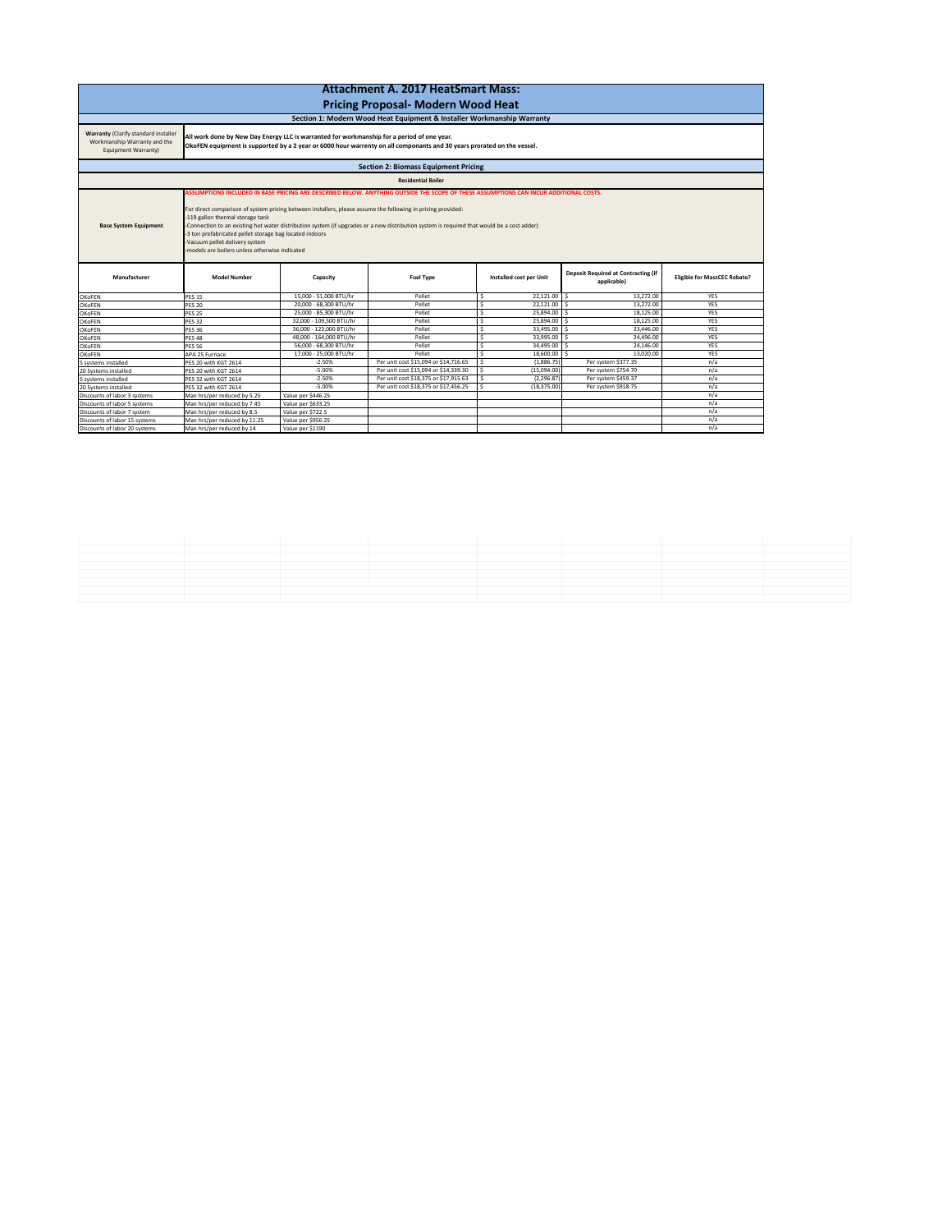| <b>Attachment A. 2017 HeatSmart Mass:</b>                                                                 |                                                                                                                                                                                                                                                                                                                                                                                                                                                                                                                                                                                        |                         |                                       |                         |                                                           |                                     |  |  |  |  |
|-----------------------------------------------------------------------------------------------------------|----------------------------------------------------------------------------------------------------------------------------------------------------------------------------------------------------------------------------------------------------------------------------------------------------------------------------------------------------------------------------------------------------------------------------------------------------------------------------------------------------------------------------------------------------------------------------------------|-------------------------|---------------------------------------|-------------------------|-----------------------------------------------------------|-------------------------------------|--|--|--|--|
|                                                                                                           |                                                                                                                                                                                                                                                                                                                                                                                                                                                                                                                                                                                        |                         |                                       |                         |                                                           |                                     |  |  |  |  |
| <b>Pricing Proposal- Modern Wood Heat</b>                                                                 |                                                                                                                                                                                                                                                                                                                                                                                                                                                                                                                                                                                        |                         |                                       |                         |                                                           |                                     |  |  |  |  |
| Section 1: Modern Wood Heat Equipment & Installer Workmanship Warranty                                    |                                                                                                                                                                                                                                                                                                                                                                                                                                                                                                                                                                                        |                         |                                       |                         |                                                           |                                     |  |  |  |  |
| <b>Warranty (Clarify standard installer</b><br>Workmanship Warranty and the<br><b>Equipment Warranty)</b> | All work done by New Day Energy LLC is warranted for workmanship for a period of one year.<br>OkoFEN equipment is supported by a 2 year or 6000 hour warrenty on all componants and 30 years prorated on the vessel.                                                                                                                                                                                                                                                                                                                                                                   |                         |                                       |                         |                                                           |                                     |  |  |  |  |
| <b>Section 2: Biomass Equipment Pricing</b>                                                               |                                                                                                                                                                                                                                                                                                                                                                                                                                                                                                                                                                                        |                         |                                       |                         |                                                           |                                     |  |  |  |  |
| <b>Residential Boiler</b>                                                                                 |                                                                                                                                                                                                                                                                                                                                                                                                                                                                                                                                                                                        |                         |                                       |                         |                                                           |                                     |  |  |  |  |
| <b>Base System Equipment</b>                                                                              | ASSUMPTIONS INCLUDED IN BASE PRICING ARE DESCRIBED BELOW. ANYTHING OUTSIDE THE SCOPE OF THESE ASSUMPTIONS CAN INCUR ADDITIONAL COSTS.<br>For direct comparison of system pricing between installers, please assume the following in pricing provided:<br>-119 gallon thermal storage tank<br>-Connection to an existing hot water distribution system (if upgrades or a new distribution system is required that would be a cost adder)<br>-3 ton prefabricated pellet storage bag located indoors<br>-Vacuum pellet delivery system<br>-models are boilers unless otherwise indicated |                         |                                       |                         |                                                           |                                     |  |  |  |  |
| Manufacturer                                                                                              | <b>Model Number</b>                                                                                                                                                                                                                                                                                                                                                                                                                                                                                                                                                                    | Capacity                | <b>Fuel Type</b>                      | Installed cost per Unit | <b>Deposit Required at Contracting (if</b><br>applicable) | <b>Eligible for MassCEC Rebate?</b> |  |  |  |  |
| <b>OKoFEN</b>                                                                                             | <b>PES 15</b>                                                                                                                                                                                                                                                                                                                                                                                                                                                                                                                                                                          | 15,000 - 51,000 BTU/hr  | Pellet                                | $22,121.00$ \$          | 13,272.00                                                 | <b>YES</b>                          |  |  |  |  |
| <b>OKoFEN</b>                                                                                             | <b>PES 20</b>                                                                                                                                                                                                                                                                                                                                                                                                                                                                                                                                                                          | 20,000 - 68,300 BTU/hr  | Pellet                                | $22,121.00$ \$<br>Ŝ.    | 13,272.00                                                 | <b>YES</b>                          |  |  |  |  |
| <b>OKoFEN</b>                                                                                             | <b>PES 25</b>                                                                                                                                                                                                                                                                                                                                                                                                                                                                                                                                                                          | 25,000 - 85,300 BTU/hr  | Pellet                                | Ŝ.<br>25,894.00         | 18,125.00                                                 | <b>YES</b>                          |  |  |  |  |
| <b>OKoFEN</b>                                                                                             | <b>PES 32</b>                                                                                                                                                                                                                                                                                                                                                                                                                                                                                                                                                                          | 32,000 - 109,500 BTU/hr | Pellet                                | \$<br>25,894.00         | 18,125.00                                                 | <b>YES</b>                          |  |  |  |  |
| <b>OKoFEN</b>                                                                                             | <b>PES 36</b>                                                                                                                                                                                                                                                                                                                                                                                                                                                                                                                                                                          | 36,000 - 123,000 BTU/hr | Pellet                                | 33,495.00               | 23,446.00                                                 | YES                                 |  |  |  |  |
| <b>OKoFEN</b>                                                                                             | <b>PES 48</b>                                                                                                                                                                                                                                                                                                                                                                                                                                                                                                                                                                          | 48,000 - 164,000 BTU/hr | Pellet                                | $33,995.00$   \$<br>১   | 24,496.00                                                 | <b>YES</b>                          |  |  |  |  |
| <b>OKoFEN</b>                                                                                             | <b>PES 56</b>                                                                                                                                                                                                                                                                                                                                                                                                                                                                                                                                                                          | 56,000 - 68,300 BTU/hr  | Pellet                                | $34,495.00$ \$          | 24,146.00                                                 | <b>YES</b>                          |  |  |  |  |
| <b>OKoFEN</b>                                                                                             | APA 25 Furnace                                                                                                                                                                                                                                                                                                                                                                                                                                                                                                                                                                         | 17,000 - 25,000 BTU/hr  | Pellet                                | 18,600.00               | \$<br>13,020.00                                           | <b>YES</b>                          |  |  |  |  |
| 5 systems installed                                                                                       | PES 20 with KGT 2614                                                                                                                                                                                                                                                                                                                                                                                                                                                                                                                                                                   | $-2.50%$                | Per unit cost \$15,094 or \$14,716.65 | (1,886.75)<br>\$        | Per system \$377.35                                       | n/a                                 |  |  |  |  |
| 20 Systems installed                                                                                      | PES 20 with KGT 2614                                                                                                                                                                                                                                                                                                                                                                                                                                                                                                                                                                   | $-5.00%$                | Per unit cost \$15,094 or \$14,339.30 | (15,094.00)<br>\$       | Per system \$754.70                                       | n/a                                 |  |  |  |  |
| 5 systems installed                                                                                       | PES 32 with KGT 2614                                                                                                                                                                                                                                                                                                                                                                                                                                                                                                                                                                   | $-2.50%$                | Per unit cost \$18,375 or \$17,915.63 | \$<br>(2, 296.87)       | Per system \$459.37                                       | n/a                                 |  |  |  |  |
| 20 Systems installed                                                                                      | PES 32 with KGT 2614                                                                                                                                                                                                                                                                                                                                                                                                                                                                                                                                                                   | $-5.00%$                | Per unit cost \$18,375 or \$17,456.25 | $\zeta$<br>(18, 375.00) | Per system \$918.75                                       | n/a                                 |  |  |  |  |
| Discounts of labor 3 systems                                                                              | Man hrs/per reduced by 5.25                                                                                                                                                                                                                                                                                                                                                                                                                                                                                                                                                            | Value per \$446.25      |                                       |                         |                                                           | n/a                                 |  |  |  |  |
| Discounts of labor 5 systems                                                                              | Man hrs/per reduced by 7.45                                                                                                                                                                                                                                                                                                                                                                                                                                                                                                                                                            | Value per \$633.25      |                                       |                         |                                                           | n/a                                 |  |  |  |  |
| Discounts of labor 7 system                                                                               | Man hrs/per reduced by 8.5                                                                                                                                                                                                                                                                                                                                                                                                                                                                                                                                                             | Value per \$722.5       |                                       |                         |                                                           | n/a                                 |  |  |  |  |
| Discounts of labor 15 systems                                                                             | Man hrs/per reduced by 11.25                                                                                                                                                                                                                                                                                                                                                                                                                                                                                                                                                           | Value per \$956.25      |                                       |                         |                                                           | n/a                                 |  |  |  |  |
| Discounts of labor 20 systems                                                                             | Man hrs/per reduced by 14                                                                                                                                                                                                                                                                                                                                                                                                                                                                                                                                                              | Value per \$1190        |                                       |                         |                                                           | n/a                                 |  |  |  |  |